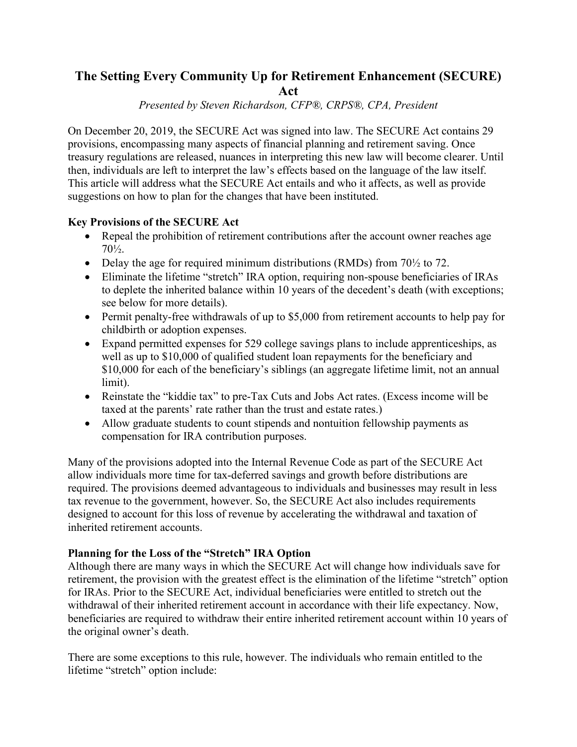# **The Setting Every Community Up for Retirement Enhancement (SECURE)**

**Act**

*Presented by Steven Richardson, CFP®, CRPS®, CPA, President*

On December 20, 2019, the SECURE Act was signed into law. The SECURE Act contains 29 provisions, encompassing many aspects of financial planning and retirement saving. Once treasury regulations are released, nuances in interpreting this new law will become clearer. Until then, individuals are left to interpret the law's effects based on the language of the law itself. This article will address what the SECURE Act entails and who it affects, as well as provide suggestions on how to plan for the changes that have been instituted.

# **Key Provisions of the SECURE Act**

- Repeal the prohibition of retirement contributions after the account owner reaches age 70½.
- Delay the age for required minimum distributions (RMDs) from  $70\frac{1}{2}$  to 72.
- Eliminate the lifetime "stretch" IRA option, requiring non-spouse beneficiaries of IRAs to deplete the inherited balance within 10 years of the decedent's death (with exceptions; see below for more details).
- Permit penalty-free withdrawals of up to \$5,000 from retirement accounts to help pay for childbirth or adoption expenses.
- Expand permitted expenses for 529 college savings plans to include apprenticeships, as well as up to \$10,000 of qualified student loan repayments for the beneficiary and \$10,000 for each of the beneficiary's siblings (an aggregate lifetime limit, not an annual limit).
- Reinstate the "kiddie tax" to pre-Tax Cuts and Jobs Act rates. (Excess income will be taxed at the parents' rate rather than the trust and estate rates.)
- Allow graduate students to count stipends and nontuition fellowship payments as compensation for IRA contribution purposes.

Many of the provisions adopted into the Internal Revenue Code as part of the SECURE Act allow individuals more time for tax-deferred savings and growth before distributions are required. The provisions deemed advantageous to individuals and businesses may result in less tax revenue to the government, however. So, the SECURE Act also includes requirements designed to account for this loss of revenue by accelerating the withdrawal and taxation of inherited retirement accounts.

# **Planning for the Loss of the "Stretch" IRA Option**

Although there are many ways in which the SECURE Act will change how individuals save for retirement, the provision with the greatest effect is the elimination of the lifetime "stretch" option for IRAs. Prior to the SECURE Act, individual beneficiaries were entitled to stretch out the withdrawal of their inherited retirement account in accordance with their life expectancy. Now, beneficiaries are required to withdraw their entire inherited retirement account within 10 years of the original owner's death.

There are some exceptions to this rule, however. The individuals who remain entitled to the lifetime "stretch" option include: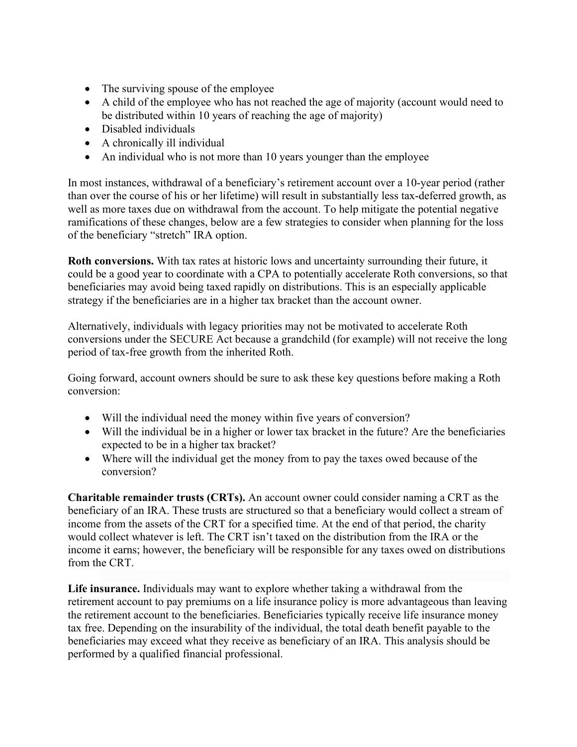- The surviving spouse of the employee
- A child of the employee who has not reached the age of majority (account would need to be distributed within 10 years of reaching the age of majority)
- Disabled individuals
- A chronically ill individual
- An individual who is not more than 10 years younger than the employee

In most instances, withdrawal of a beneficiary's retirement account over a 10-year period (rather than over the course of his or her lifetime) will result in substantially less tax-deferred growth, as well as more taxes due on withdrawal from the account. To help mitigate the potential negative ramifications of these changes, below are a few strategies to consider when planning for the loss of the beneficiary "stretch" IRA option.

**Roth conversions.** With tax rates at historic lows and uncertainty surrounding their future, it could be a good year to coordinate with a CPA to potentially accelerate Roth conversions, so that beneficiaries may avoid being taxed rapidly on distributions. This is an especially applicable strategy if the beneficiaries are in a higher tax bracket than the account owner.

Alternatively, individuals with legacy priorities may not be motivated to accelerate Roth conversions under the SECURE Act because a grandchild (for example) will not receive the long period of tax-free growth from the inherited Roth.

Going forward, account owners should be sure to ask these key questions before making a Roth conversion:

- Will the individual need the money within five years of conversion?
- Will the individual be in a higher or lower tax bracket in the future? Are the beneficiaries expected to be in a higher tax bracket?
- Where will the individual get the money from to pay the taxes owed because of the conversion?

**Charitable remainder trusts (CRTs).** An account owner could consider naming a CRT as the beneficiary of an IRA. These trusts are structured so that a beneficiary would collect a stream of income from the assets of the CRT for a specified time. At the end of that period, the charity would collect whatever is left. The CRT isn't taxed on the distribution from the IRA or the income it earns; however, the beneficiary will be responsible for any taxes owed on distributions from the CRT.

**Life insurance.** Individuals may want to explore whether taking a withdrawal from the retirement account to pay premiums on a life insurance policy is more advantageous than leaving the retirement account to the beneficiaries. Beneficiaries typically receive life insurance money tax free. Depending on the insurability of the individual, the total death benefit payable to the beneficiaries may exceed what they receive as beneficiary of an IRA. This analysis should be performed by a qualified financial professional.